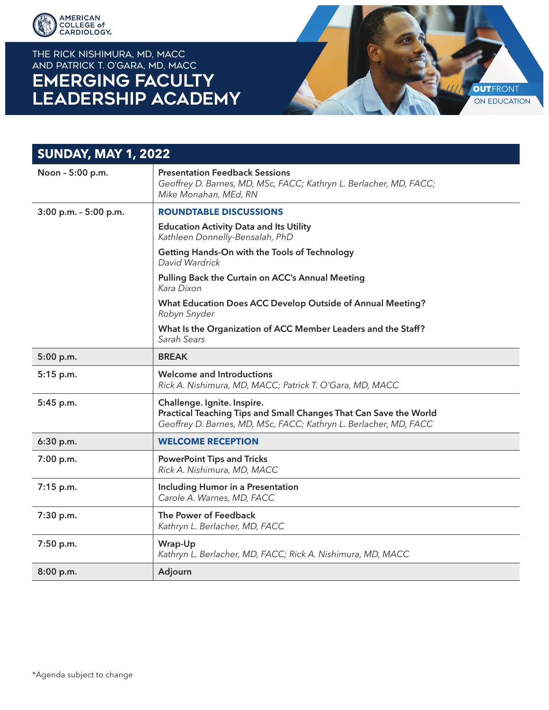

## THE RICK NISHIMURA, MD, MACC and PATRICK T. O'GARA, MD, MACC **EMERGING FACULTY LEADERSHIP ACADEMY**



| <b>SUNDAY, MAY 1, 2022</b> |                                                                                                                                                                       |
|----------------------------|-----------------------------------------------------------------------------------------------------------------------------------------------------------------------|
| Noon - 5:00 p.m.           | <b>Presentation Feedback Sessions</b><br>Geoffrey D. Barnes, MD, MSc, FACC; Kathryn L. Berlacher, MD, FACC;<br>Mike Monahan, MEd, RN                                  |
| 3:00 p.m. - 5:00 p.m.      | <b>ROUNDTABLE DISCUSSIONS</b>                                                                                                                                         |
|                            | <b>Education Activity Data and Its Utility</b><br>Kathleen Donnelly-Bensalah, PhD                                                                                     |
|                            | Getting Hands-On with the Tools of Technology<br>David Wardrick                                                                                                       |
|                            | Pulling Back the Curtain on ACC's Annual Meeting<br>Kara Dixon                                                                                                        |
|                            | What Education Does ACC Develop Outside of Annual Meeting?<br>Robyn Snyder                                                                                            |
|                            | What Is the Organization of ACC Member Leaders and the Staff?<br>Sarah Sears                                                                                          |
| 5:00 p.m.                  | <b>BREAK</b>                                                                                                                                                          |
| 5:15 p.m.                  | <b>Welcome and Introductions</b><br>Rick A. Nishimura, MD, MACC; Patrick T. O'Gara, MD, MACC                                                                          |
| 5:45 p.m.                  | Challenge. Ignite. Inspire.<br>Practical Teaching Tips and Small Changes That Can Save the World<br>Geoffrey D. Barnes, MD, MSc, FACC; Kathryn L. Berlacher, MD, FACC |
| 6:30 p.m.                  | <b>WELCOME RECEPTION</b>                                                                                                                                              |
| 7:00 p.m.                  | <b>PowerPoint Tips and Tricks</b><br>Rick A. Nishimura, MD, MACC                                                                                                      |
| 7:15 p.m.                  | <b>Including Humor in a Presentation</b><br>Carole A. Warnes, MD, FACC                                                                                                |
| 7:30 p.m.                  | The Power of Feedback<br>Kathryn L. Berlacher, MD, FACC                                                                                                               |
| 7:50 p.m.                  | Wrap-Up<br>Kathryn L. Berlacher, MD, FACC; Rick A. Nishimura, MD, MACC                                                                                                |
| 8:00 p.m.                  | Adjourn                                                                                                                                                               |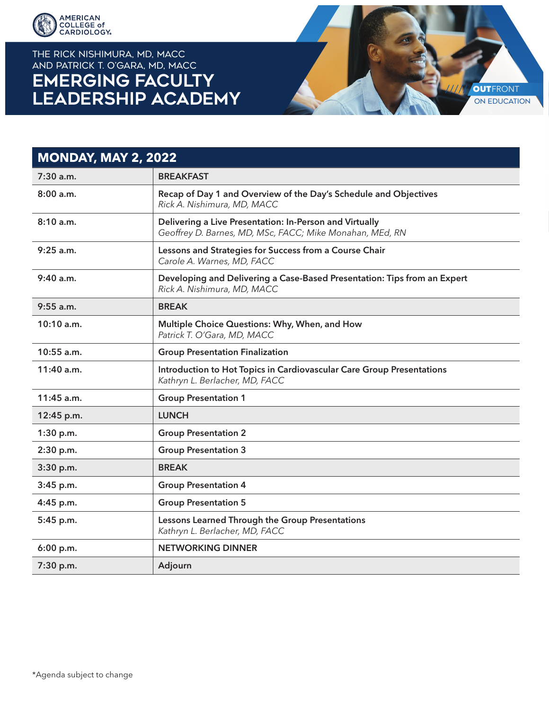

THE RICK NISHIMURA, MD, MACC and PATRICK T. O'GARA, MD, MACC **EMERGING FACULTY LEADERSHIP ACADEMY** 



## **MONDAY, MAY 2, 2022** 7:30 a.m. BREAKFAST 8:00 a.m. Recap of Day 1 and Overview of the Day's Schedule and Objectives *Rick A. Nishimura, MD, MACC* 8:10 a.m. Delivering a Live Presentation: In-Person and Virtually *Geoffrey D. Barnes, MD, MSc, FACC; Mike Monahan, MEd, RN* 9:25 a.m. **Lessons and Strategies for Success from a Course Chair** *Carole A. Warnes, MD, FACC* 9:40 a.m. Developing and Delivering a Case-Based Presentation: Tips from an Expert *Rick A. Nishimura, MD, MACC* 9:55 a.m. BREAK 10:10 a.m. **Multiple Choice Questions: Why, When, and How** *Patrick T. O'Gara, MD, MACC* 10:55 a.m. Group Presentation Finalization 11:40 a.m. **Introduction to Hot Topics in Cardiovascular Care Group Presentations** *Kathryn L. Berlacher, MD, FACC* 11:45 a.m. **Communist Communist Communist Communist Communist Communist Communist Communist Communist Communist Communist Communist Communist Communist Communist Communist Communist Communist Communist Communist Communist** 12:45 p.m. LUNCH 1:30 p.m. Group Presentation 2 2:30 p.m. Group Presentation 3 3:30 p.m. BREAK 3:45 p.m. Group Presentation 4 4:45 p.m. Group Presentation 5 5:45 p.m. Lessons Learned Through the Group Presentations *Kathryn L. Berlacher, MD, FACC* 6:00 p.m. NETWORKING DINNER 7:30 p.m. Adjourn